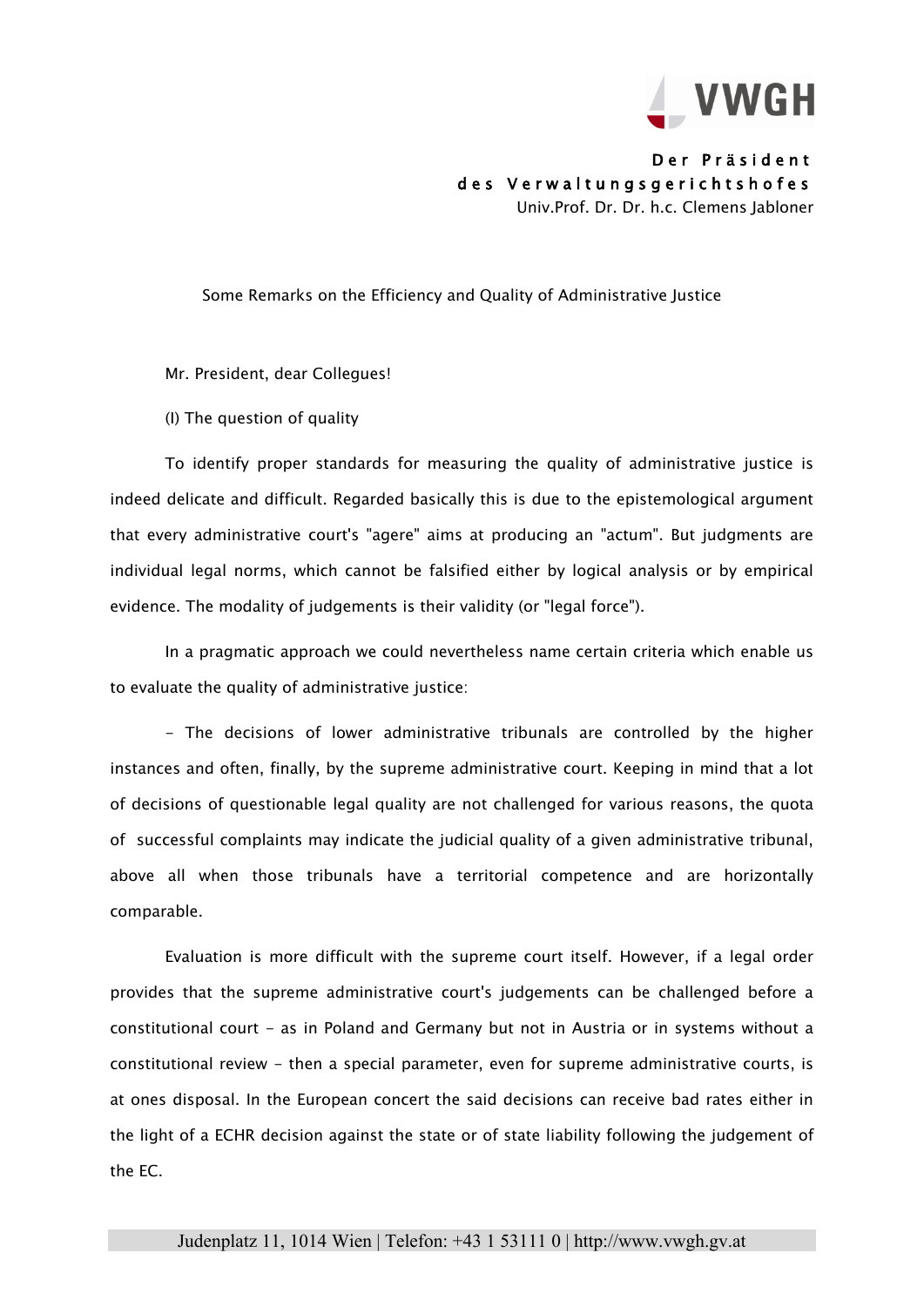

Der Präsident des Verwaltungsgerichtshofes Univ.Prof. Dr. Dr. h.c. Clemens Jabloner

## Some Remarks on the Efficiency and Quality of Administrative Justice

Mr. President, dear Collegues!

(I) The question of quality

To identify proper standards for measuring the quality of administrative justice is indeed delicate and difficult. Regarded basically this is due to the epistemological argument that every administrative court's "agere" aims at producing an "actum". But judgments are individual legal norms, which cannot be falsified either by logical analysis or by empirical evidence. The modality of judgements is their validity (or "legal force").

In a pragmatic approach we could nevertheless name certain criteria which enable us to evaluate the quality of administrative justice:

- The decisions of lower administrative tribunals are controlled by the higher instances and often, finally, by the supreme administrative court. Keeping in mind that a lot of decisions of questionable legal quality are not challenged for various reasons, the quota of successful complaints may indicate the judicial quality of a given administrative tribunal, above all when those tribunals have a territorial competence and are horizontally comparable.

Evaluation is more difficult with the supreme court itself. However, if a legal order provides that the supreme administrative court's judgements can be challenged before a constitutional court - as in Poland and Germany but not in Austria or in systems without a constitutional review - then a special parameter, even for supreme administrative courts, is at ones disposal. In the European concert the said decisions can receive bad rates either in the light of a ECHR decision against the state or of state liability following the judgement of the EC.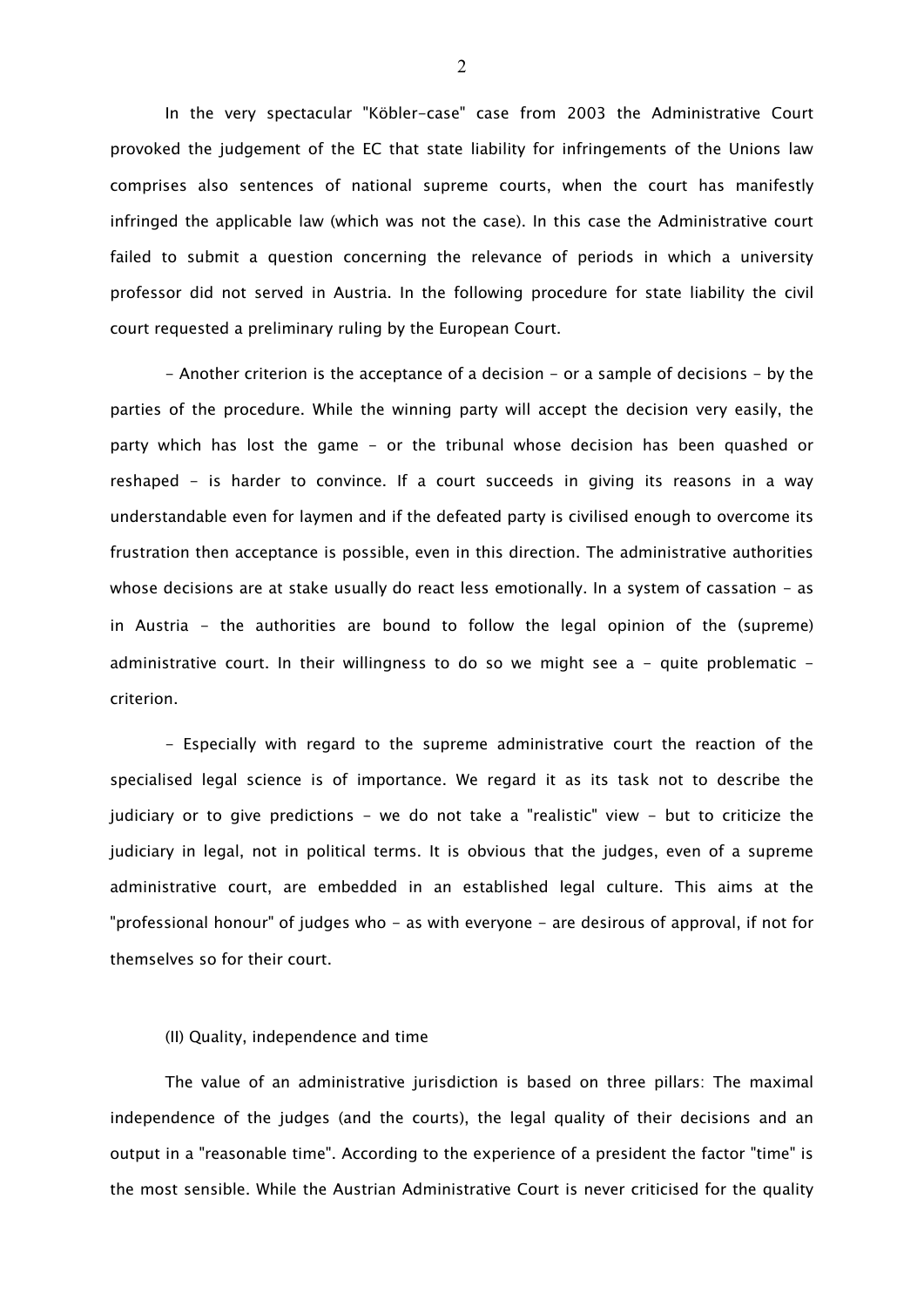In the very spectacular "Köbler-case" case from 2003 the Administrative Court provoked the judgement of the EC that state liability for infringements of the Unions law comprises also sentences of national supreme courts, when the court has manifestly infringed the applicable law (which was not the case). In this case the Administrative court failed to submit a question concerning the relevance of periods in which a university professor did not served in Austria. In the following procedure for state liability the civil court requested a preliminary ruling by the European Court.

- Another criterion is the acceptance of a decision - or a sample of decisions - by the parties of the procedure. While the winning party will accept the decision very easily, the party which has lost the game - or the tribunal whose decision has been quashed or reshaped - is harder to convince. If a court succeeds in giving its reasons in a way understandable even for laymen and if the defeated party is civilised enough to overcome its frustration then acceptance is possible, even in this direction. The administrative authorities whose decisions are at stake usually do react less emotionally. In a system of cassation - as in Austria - the authorities are bound to follow the legal opinion of the (supreme) administrative court. In their willingness to do so we might see  $a - q$ uite problematic  $$ criterion.

- Especially with regard to the supreme administrative court the reaction of the specialised legal science is of importance. We regard it as its task not to describe the judiciary or to give predictions - we do not take a "realistic" view - but to criticize the judiciary in legal, not in political terms. It is obvious that the judges, even of a supreme administrative court, are embedded in an established legal culture. This aims at the "professional honour" of judges who - as with everyone - are desirous of approval, if not for themselves so for their court.

## (II) Quality, independence and time

The value of an administrative jurisdiction is based on three pillars: The maximal independence of the judges (and the courts), the legal quality of their decisions and an output in a "reasonable time". According to the experience of a president the factor "time" is the most sensible. While the Austrian Administrative Court is never criticised for the quality

2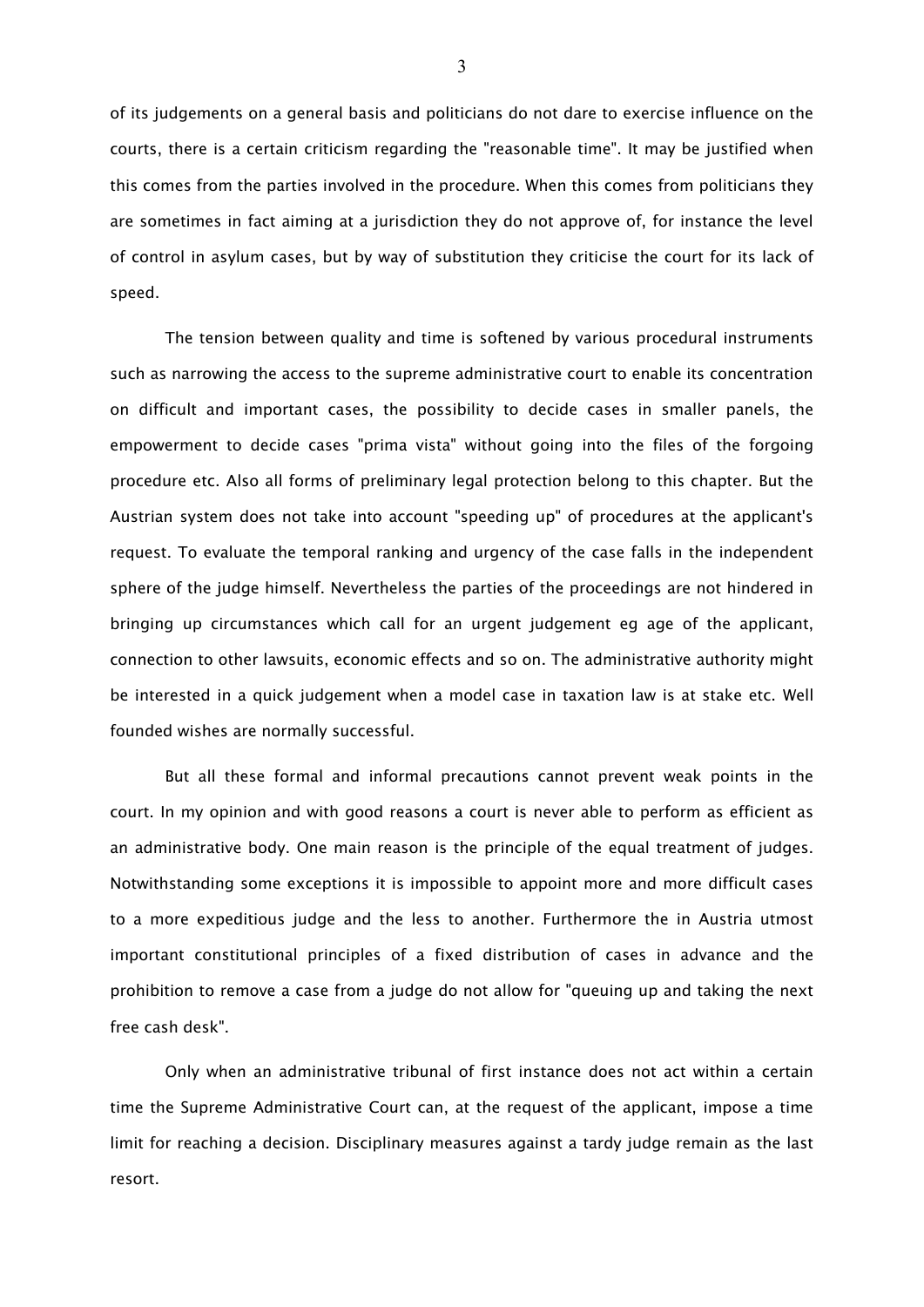of its judgements on a general basis and politicians do not dare to exercise influence on the courts, there is a certain criticism regarding the "reasonable time". It may be justified when this comes from the parties involved in the procedure. When this comes from politicians they are sometimes in fact aiming at a jurisdiction they do not approve of, for instance the level of control in asylum cases, but by way of substitution they criticise the court for its lack of speed.

The tension between quality and time is softened by various procedural instruments such as narrowing the access to the supreme administrative court to enable its concentration on difficult and important cases, the possibility to decide cases in smaller panels, the empowerment to decide cases "prima vista" without going into the files of the forgoing procedure etc. Also all forms of preliminary legal protection belong to this chapter. But the Austrian system does not take into account "speeding up" of procedures at the applicant's request. To evaluate the temporal ranking and urgency of the case falls in the independent sphere of the judge himself. Nevertheless the parties of the proceedings are not hindered in bringing up circumstances which call for an urgent judgement eg age of the applicant, connection to other lawsuits, economic effects and so on. The administrative authority might be interested in a quick judgement when a model case in taxation law is at stake etc. Well founded wishes are normally successful.

But all these formal and informal precautions cannot prevent weak points in the court. In my opinion and with good reasons a court is never able to perform as efficient as an administrative body. One main reason is the principle of the equal treatment of judges. Notwithstanding some exceptions it is impossible to appoint more and more difficult cases to a more expeditious judge and the less to another. Furthermore the in Austria utmost important constitutional principles of a fixed distribution of cases in advance and the prohibition to remove a case from a judge do not allow for "queuing up and taking the next free cash desk".

Only when an administrative tribunal of first instance does not act within a certain time the Supreme Administrative Court can, at the request of the applicant, impose a time limit for reaching a decision. Disciplinary measures against a tardy judge remain as the last resort.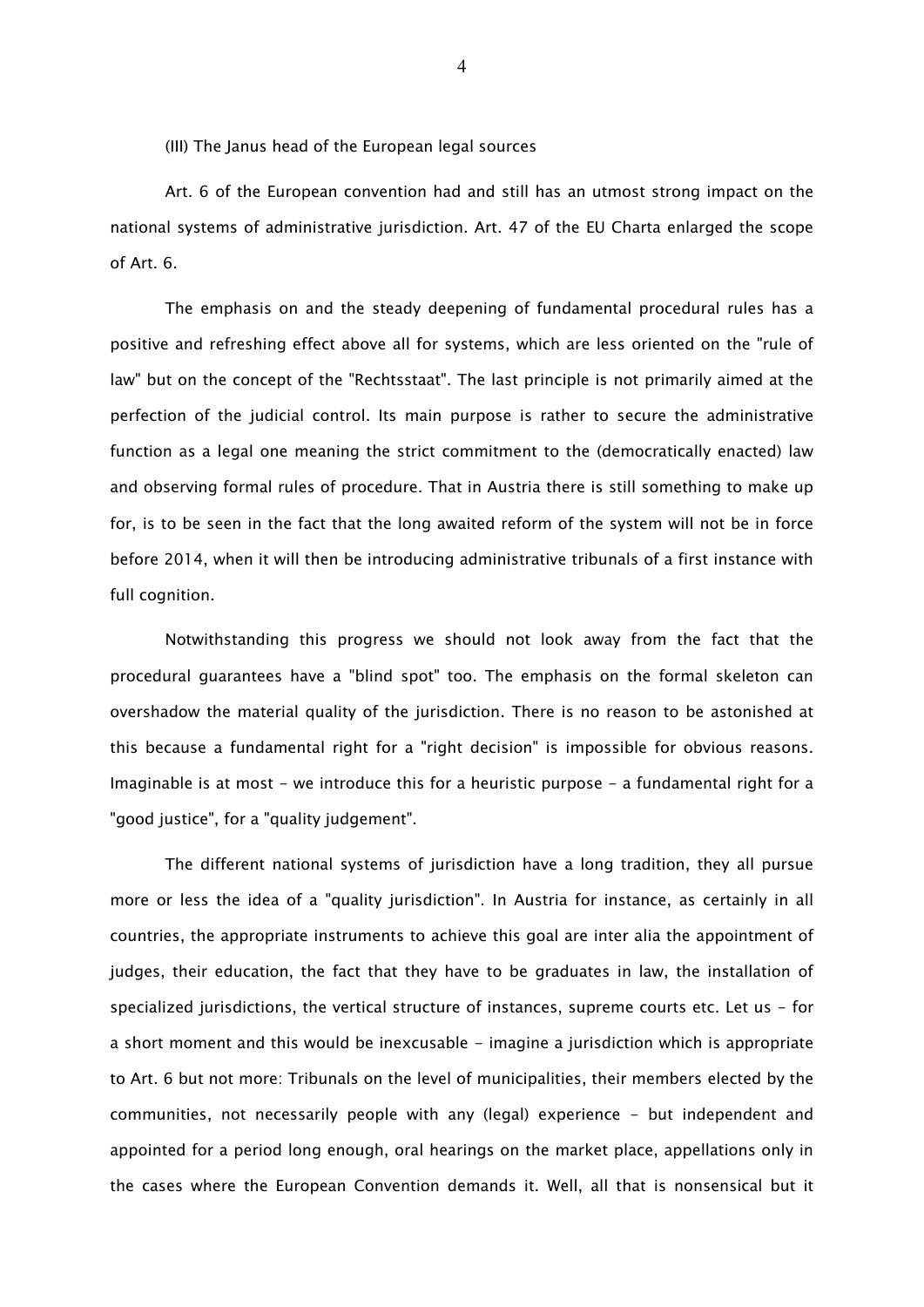(III) The Janus head of the European legal sources

Art. 6 of the European convention had and still has an utmost strong impact on the national systems of administrative jurisdiction. Art. 47 of the EU Charta enlarged the scope of Art. 6.

The emphasis on and the steady deepening of fundamental procedural rules has a positive and refreshing effect above all for systems, which are less oriented on the "rule of law" but on the concept of the "Rechtsstaat". The last principle is not primarily aimed at the perfection of the judicial control. Its main purpose is rather to secure the administrative function as a legal one meaning the strict commitment to the (democratically enacted) law and observing formal rules of procedure. That in Austria there is still something to make up for, is to be seen in the fact that the long awaited reform of the system will not be in force before 2014, when it will then be introducing administrative tribunals of a first instance with full cognition.

Notwithstanding this progress we should not look away from the fact that the procedural guarantees have a "blind spot" too. The emphasis on the formal skeleton can overshadow the material quality of the jurisdiction. There is no reason to be astonished at this because a fundamental right for a "right decision" is impossible for obvious reasons. Imaginable is at most - we introduce this for a heuristic purpose - a fundamental right for a "good justice", for a "quality judgement".

The different national systems of jurisdiction have a long tradition, they all pursue more or less the idea of a "quality jurisdiction". In Austria for instance, as certainly in all countries, the appropriate instruments to achieve this goal are inter alia the appointment of judges, their education, the fact that they have to be graduates in law, the installation of specialized jurisdictions, the vertical structure of instances, supreme courts etc. Let us - for a short moment and this would be inexcusable - imagine a jurisdiction which is appropriate to Art. 6 but not more: Tribunals on the level of municipalities, their members elected by the communities, not necessarily people with any (legal) experience - but independent and appointed for a period long enough, oral hearings on the market place, appellations only in the cases where the European Convention demands it. Well, all that is nonsensical but it

4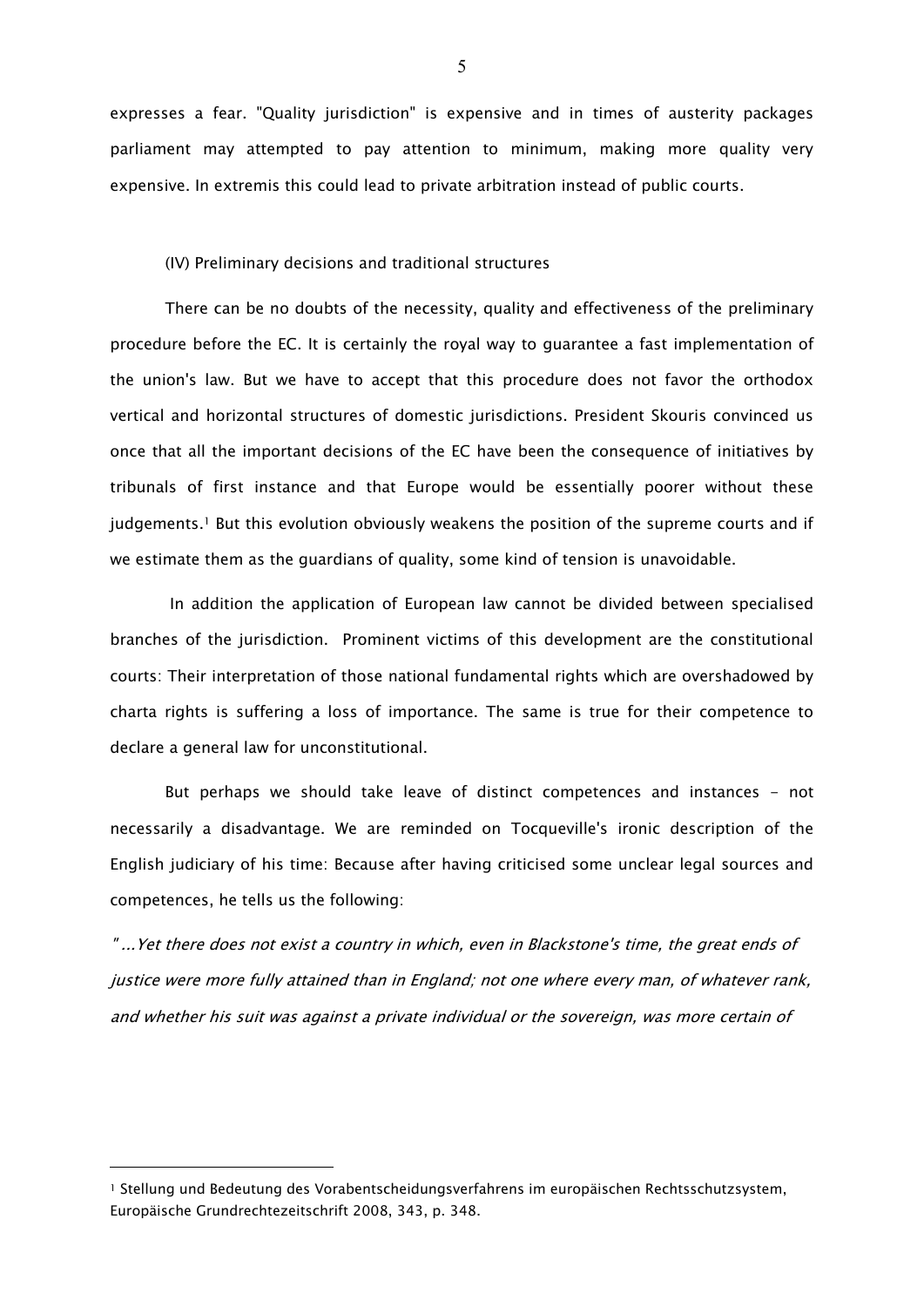expresses a fear. "Quality jurisdiction" is expensive and in times of austerity packages parliament may attempted to pay attention to minimum, making more quality very expensive. In extremis this could lead to private arbitration instead of public courts.

(IV) Preliminary decisions and traditional structures

There can be no doubts of the necessity, quality and effectiveness of the preliminary procedure before the EC. It is certainly the royal way to guarantee a fast implementation of the union's law. But we have to accept that this procedure does not favor the orthodox vertical and horizontal structures of domestic jurisdictions. President Skouris convinced us once that all the important decisions of the EC have been the consequence of initiatives by tribunals of first instance and that Europe would be essentially poorer without these  $judgements.1$  But this evolution obviously weakens the position of the supreme courts and if we estimate them as the guardians of quality, some kind of tension is unavoidable.

In addition the application of European law cannot be divided between specialised branches of the jurisdiction. Prominent victims of this development are the constitutional courts: Their interpretation of those national fundamental rights which are overshadowed by charta rights is suffering a loss of importance. The same is true for their competence to declare a general law for unconstitutional.

But perhaps we should take leave of distinct competences and instances - not necessarily a disadvantage. We are reminded on Tocqueville's ironic description of the English judiciary of his time: Because after having criticised some unclear legal sources and competences, he tells us the following:

" ...Yet there does not exist a country in which, even in Blackstone's time, the great ends of justice were more fully attained than in England; not one where every man, of whatever rank, and whether his suit was against a private individual or the sovereign, was more certain of

<u>.</u>

<sup>1</sup> Stellung und Bedeutung des Vorabentscheidungsverfahrens im europäischen Rechtsschutzsystem, Europäische Grundrechtezeitschrift 2008, 343, p. 348.